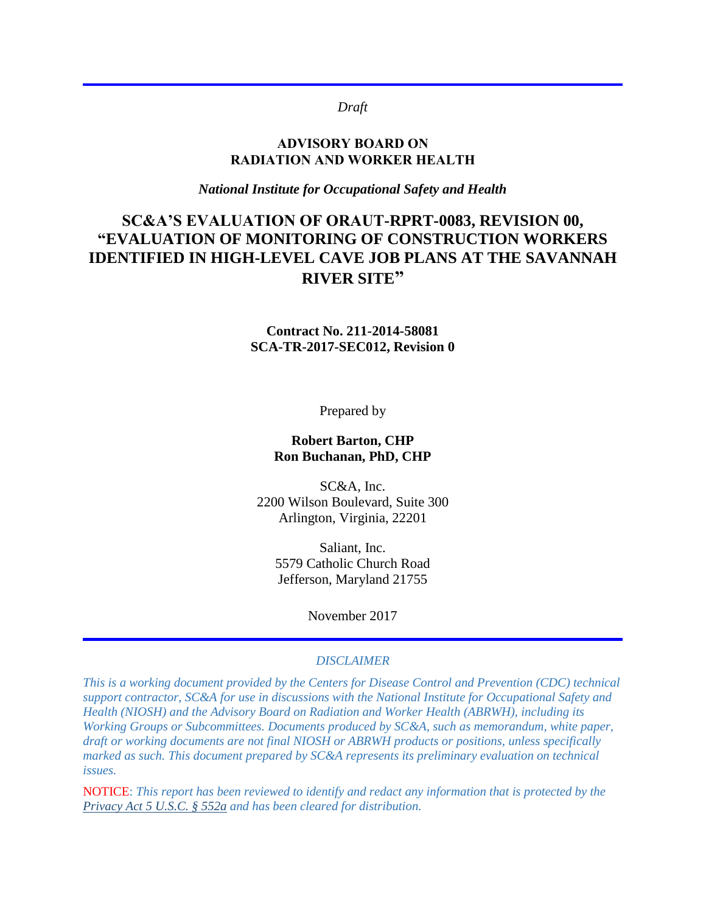### *Draft*

### **ADVISORY BOARD ON RADIATION AND WORKER HEALTH**

*National Institute for Occupational Safety and Health*

# **SC&A'S EVALUATION OF ORAUT-RPRT-0083, REVISION 00, "EVALUATION OF MONITORING OF CONSTRUCTION WORKERS IDENTIFIED IN HIGH-LEVEL CAVE JOB PLANS AT THE SAVANNAH RIVER SITE"**

**Contract No. 211-2014-58081 SCA-TR-2017-SEC012, Revision 0**

Prepared by

### **Robert Barton, CHP Ron Buchanan, PhD, CHP**

SC&A, Inc. 2200 Wilson Boulevard, Suite 300 Arlington, Virginia, 22201

Saliant, Inc. 5579 Catholic Church Road Jefferson, Maryland 21755

November 2017

#### *DISCLAIMER*

*This is a working document provided by the Centers for Disease Control and Prevention (CDC) technical support contractor, SC&A for use in discussions with the National Institute for Occupational Safety and Health (NIOSH) and the Advisory Board on Radiation and Worker Health (ABRWH), including its Working Groups or Subcommittees. Documents produced by SC&A, such as memorandum, white paper, draft or working documents are not final NIOSH or ABRWH products or positions, unless specifically marked as such. This document prepared by SC&A represents its preliminary evaluation on technical issues.*

NOTICE: *This report has been reviewed to identify and redact any information that is protected by the [Privacy Act 5 U.S.C. § 552a](http://www.justice.gov/opcl/privacy-act-1974) and has been cleared for distribution.*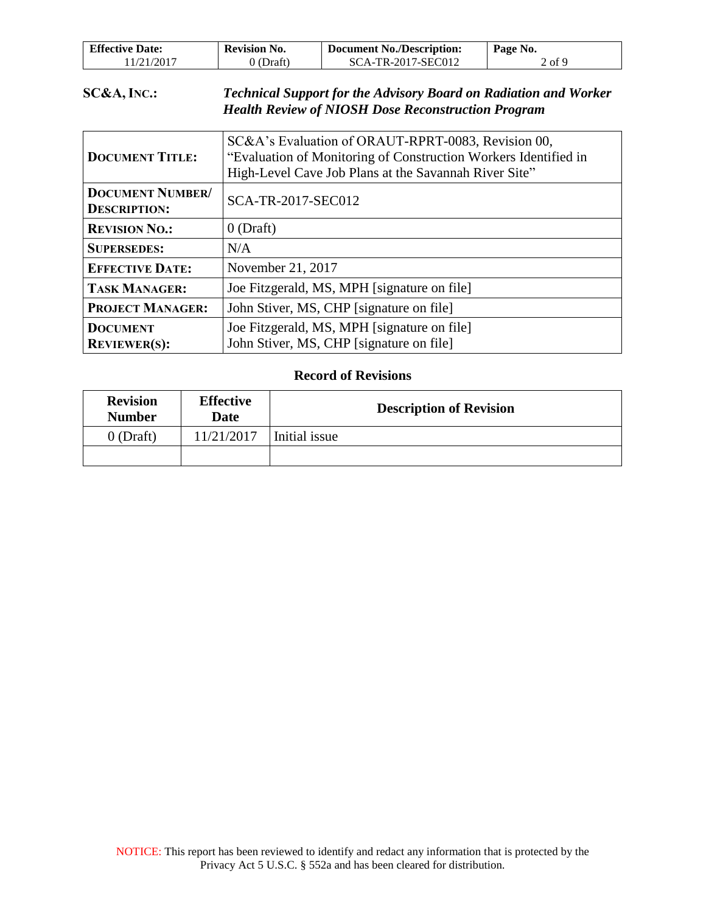| <b>Effective Date:</b> | <b>Revision No.</b> | <b>Document No./Description:</b> | Page No.             |
|------------------------|---------------------|----------------------------------|----------------------|
| 11/21/2017             | ) (Draft)           | SCA-TR-2017-SEC012               | $\angle$ of $\Omega$ |

### **SC&A, INC.:** *Technical Support for the Advisory Board on Radiation and Worker Health Review of NIOSH Dose Reconstruction Program*

| <b>DOCUMENT TITLE:</b>                         | SC&A's Evaluation of ORAUT-RPRT-0083, Revision 00,<br>"Evaluation of Monitoring of Construction Workers Identified in<br>High-Level Cave Job Plans at the Savannah River Site" |  |
|------------------------------------------------|--------------------------------------------------------------------------------------------------------------------------------------------------------------------------------|--|
| <b>DOCUMENT NUMBER/</b><br><b>DESCRIPTION:</b> | SCA-TR-2017-SEC012                                                                                                                                                             |  |
| <b>REVISION NO.:</b>                           | $0$ (Draft)                                                                                                                                                                    |  |
| <b>SUPERSEDES:</b>                             | N/A                                                                                                                                                                            |  |
| <b>EFFECTIVE DATE:</b>                         | November 21, 2017                                                                                                                                                              |  |
| <b>TASK MANAGER:</b>                           | Joe Fitzgerald, MS, MPH [signature on file]                                                                                                                                    |  |
| <b>PROJECT MANAGER:</b>                        | John Stiver, MS, CHP [signature on file]                                                                                                                                       |  |
| <b>DOCUMENT</b>                                | Joe Fitzgerald, MS, MPH [signature on file]                                                                                                                                    |  |
| <b>REVIEWER(S):</b>                            | John Stiver, MS, CHP [signature on file]                                                                                                                                       |  |

### **Record of Revisions**

| <b>Revision</b><br><b>Number</b> | <b>Effective</b><br><b>Date</b> | <b>Description of Revision</b> |  |
|----------------------------------|---------------------------------|--------------------------------|--|
| $0$ (Draft)                      | 11/21/2017                      | Initial issue                  |  |
|                                  |                                 |                                |  |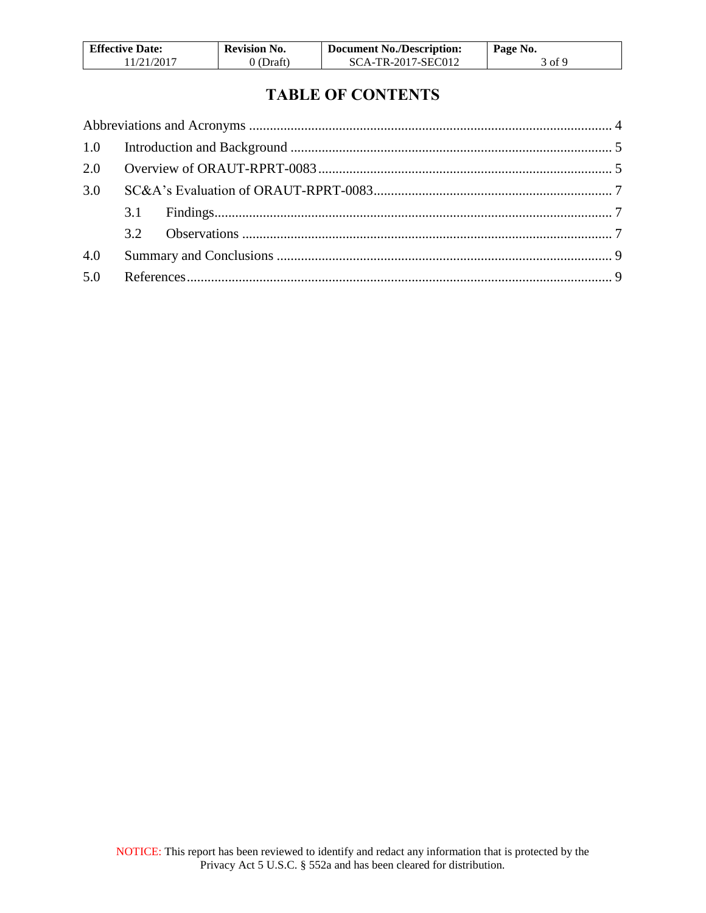| <b>Effective Date:</b> | <b>Revision No.</b> | <b>Document No./Description:</b> | Page No. |
|------------------------|---------------------|----------------------------------|----------|
| 11/21/2017             | 0 (Draft)           | SCA-TR-2017-SEC012               | 3 of 9   |

# **TABLE OF CONTENTS**

| 2.0 |  |  |
|-----|--|--|
| 3.0 |  |  |
|     |  |  |
|     |  |  |
| 4.0 |  |  |
| 5.0 |  |  |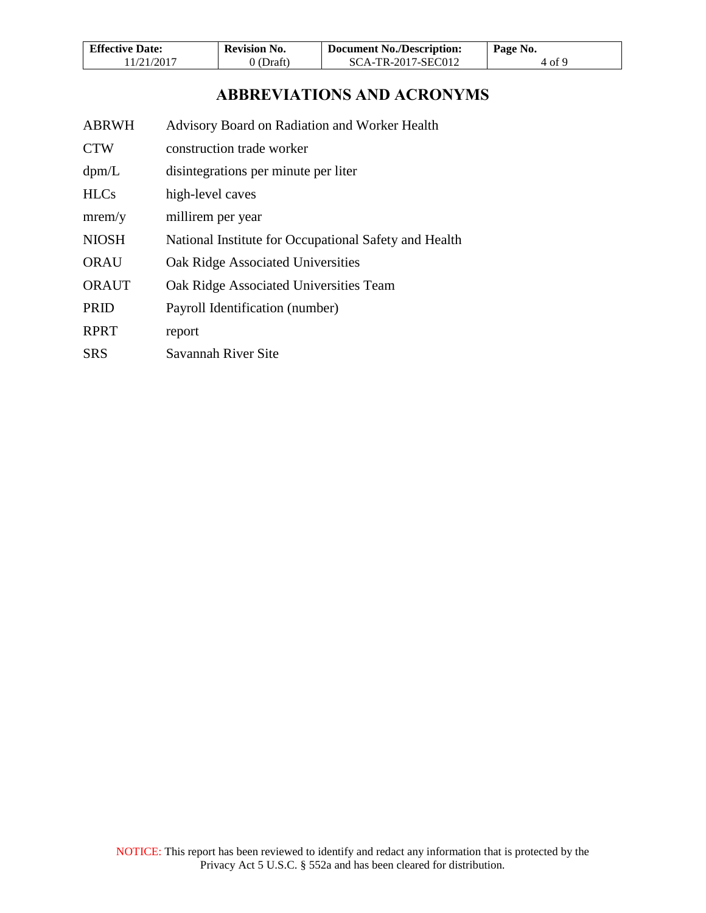| <b>Effective Date:</b> | <b>Revision No.</b> | <b>Document No./Description:</b> | Page No. |
|------------------------|---------------------|----------------------------------|----------|
| 11/21/2017             | $0$ (Draft)         | SCA-TR-2017-SEC012               | 4 of 9   |

## **ABBREVIATIONS AND ACRONYMS**

- <span id="page-3-0"></span>ABRWH Advisory Board on Radiation and Worker Health
- CTW construction trade worker
- dpm/L disintegrations per minute per liter
- HLCs high-level caves
- mrem/y millirem per year
- NIOSH National Institute for Occupational Safety and Health
- ORAU Oak Ridge Associated Universities
- ORAUT Oak Ridge Associated Universities Team
- PRID Payroll Identification (number)
- RPRT report
- SRS Savannah River Site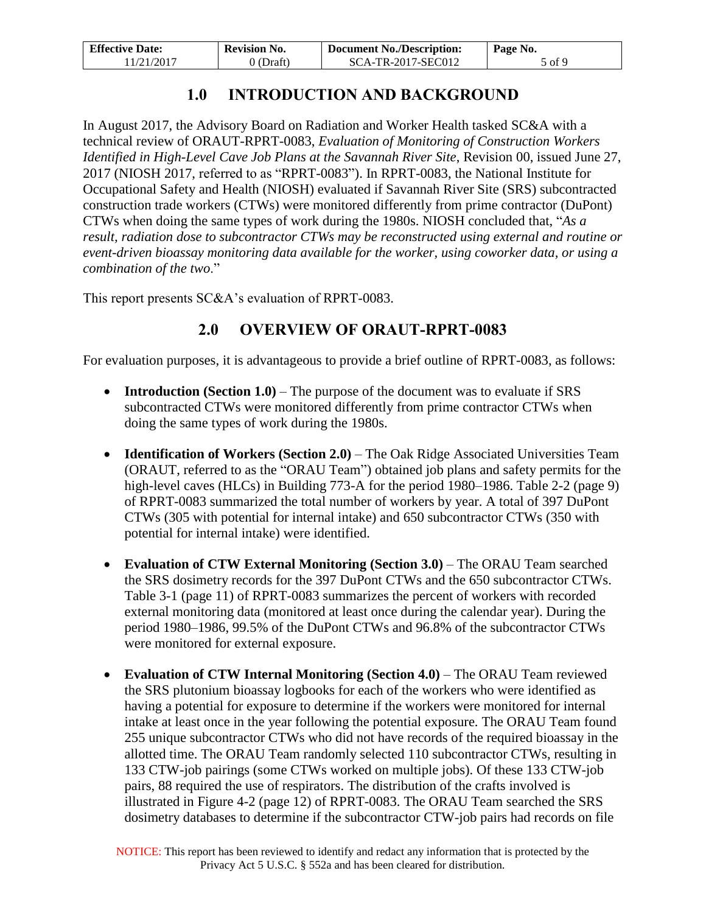| <b>Effective Date:</b> | <b>Revision No.</b> | <b>Document No./Description:</b> | Page No. |
|------------------------|---------------------|----------------------------------|----------|
| 11/21/2017             | $0$ (Draft)         | SCA-TR-2017-SEC012               | 5 of 9   |

# **1.0 INTRODUCTION AND BACKGROUND**

<span id="page-4-0"></span>In August 2017, the Advisory Board on Radiation and Worker Health tasked SC&A with a technical review of ORAUT-RPRT-0083, *Evaluation of Monitoring of Construction Workers Identified in High-Level Cave Job Plans at the Savannah River Site*, Revision 00, issued June 27, 2017 (NIOSH 2017, referred to as "RPRT-0083"). In RPRT-0083, the National Institute for Occupational Safety and Health (NIOSH) evaluated if Savannah River Site (SRS) subcontracted construction trade workers (CTWs) were monitored differently from prime contractor (DuPont) CTWs when doing the same types of work during the 1980s. NIOSH concluded that, "*As a result, radiation dose to subcontractor CTWs may be reconstructed using external and routine or event-driven bioassay monitoring data available for the worker, using coworker data, or using a combination of the two*."

<span id="page-4-1"></span>This report presents SC&A's evaluation of RPRT-0083.

# **2.0 OVERVIEW OF ORAUT-RPRT-0083**

For evaluation purposes, it is advantageous to provide a brief outline of RPRT-0083, as follows:

- **Introduction (Section 1.0)** The purpose of the document was to evaluate if SRS subcontracted CTWs were monitored differently from prime contractor CTWs when doing the same types of work during the 1980s.
- **Identification of Workers (Section 2.0)** The Oak Ridge Associated Universities Team (ORAUT, referred to as the "ORAU Team") obtained job plans and safety permits for the high-level caves (HLCs) in Building 773-A for the period 1980–1986. Table 2-2 (page 9) of RPRT-0083 summarized the total number of workers by year. A total of 397 DuPont CTWs (305 with potential for internal intake) and 650 subcontractor CTWs (350 with potential for internal intake) were identified.
- **Evaluation of CTW External Monitoring (Section 3.0)** The ORAU Team searched the SRS dosimetry records for the 397 DuPont CTWs and the 650 subcontractor CTWs. Table 3-1 (page 11) of RPRT-0083 summarizes the percent of workers with recorded external monitoring data (monitored at least once during the calendar year). During the period 1980–1986, 99.5% of the DuPont CTWs and 96.8% of the subcontractor CTWs were monitored for external exposure.
- **Evaluation of CTW Internal Monitoring (Section 4.0)** The ORAU Team reviewed the SRS plutonium bioassay logbooks for each of the workers who were identified as having a potential for exposure to determine if the workers were monitored for internal intake at least once in the year following the potential exposure. The ORAU Team found 255 unique subcontractor CTWs who did not have records of the required bioassay in the allotted time. The ORAU Team randomly selected 110 subcontractor CTWs, resulting in 133 CTW-job pairings (some CTWs worked on multiple jobs). Of these 133 CTW-job pairs, 88 required the use of respirators. The distribution of the crafts involved is illustrated in Figure 4-2 (page 12) of RPRT-0083. The ORAU Team searched the SRS dosimetry databases to determine if the subcontractor CTW-job pairs had records on file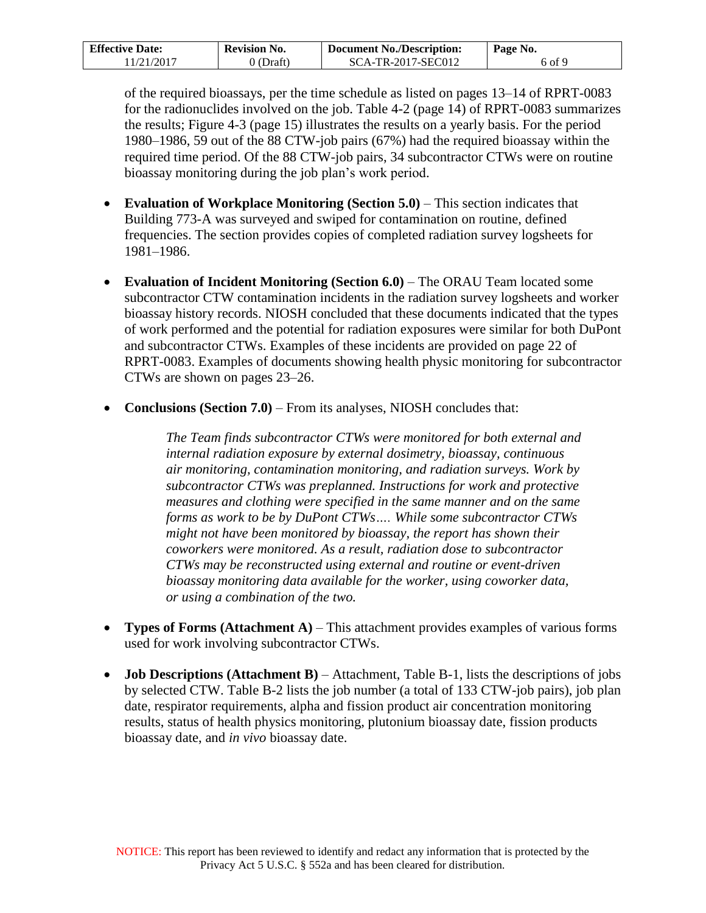| <b>Effective Date:</b> | <b>Revision No.</b> | <b>Document No./Description:</b> | Page No. |
|------------------------|---------------------|----------------------------------|----------|
| 11/21/2017             | 0 (Draft)           | SCA-TR-2017-SEC012               | 6 of 9   |

of the required bioassays, per the time schedule as listed on pages 13–14 of RPRT-0083 for the radionuclides involved on the job. Table 4-2 (page 14) of RPRT-0083 summarizes the results; Figure 4-3 (page 15) illustrates the results on a yearly basis. For the period 1980–1986, 59 out of the 88 CTW-job pairs (67%) had the required bioassay within the required time period. Of the 88 CTW-job pairs, 34 subcontractor CTWs were on routine bioassay monitoring during the job plan's work period.

- **Evaluation of Workplace Monitoring (Section 5.0)** This section indicates that Building 773-A was surveyed and swiped for contamination on routine, defined frequencies. The section provides copies of completed radiation survey logsheets for 1981–1986.
- **Evaluation of Incident Monitoring (Section 6.0)**  The ORAU Team located some subcontractor CTW contamination incidents in the radiation survey logsheets and worker bioassay history records. NIOSH concluded that these documents indicated that the types of work performed and the potential for radiation exposures were similar for both DuPont and subcontractor CTWs. Examples of these incidents are provided on page 22 of RPRT-0083. Examples of documents showing health physic monitoring for subcontractor CTWs are shown on pages 23–26.
- **Conclusions (Section 7.0)** From its analyses, NIOSH concludes that:

*The Team finds subcontractor CTWs were monitored for both external and internal radiation exposure by external dosimetry, bioassay, continuous air monitoring, contamination monitoring, and radiation surveys. Work by subcontractor CTWs was preplanned. Instructions for work and protective measures and clothing were specified in the same manner and on the same forms as work to be by DuPont CTWs…. While some subcontractor CTWs might not have been monitored by bioassay, the report has shown their coworkers were monitored. As a result, radiation dose to subcontractor CTWs may be reconstructed using external and routine or event-driven bioassay monitoring data available for the worker, using coworker data, or using a combination of the two.*

- **Types of Forms (Attachment A)**  This attachment provides examples of various forms used for work involving subcontractor CTWs.
- **Job Descriptions (Attachment B)** Attachment, Table B-1, lists the descriptions of jobs by selected CTW. Table B-2 lists the job number (a total of 133 CTW-job pairs), job plan date, respirator requirements, alpha and fission product air concentration monitoring results, status of health physics monitoring, plutonium bioassay date, fission products bioassay date, and *in vivo* bioassay date.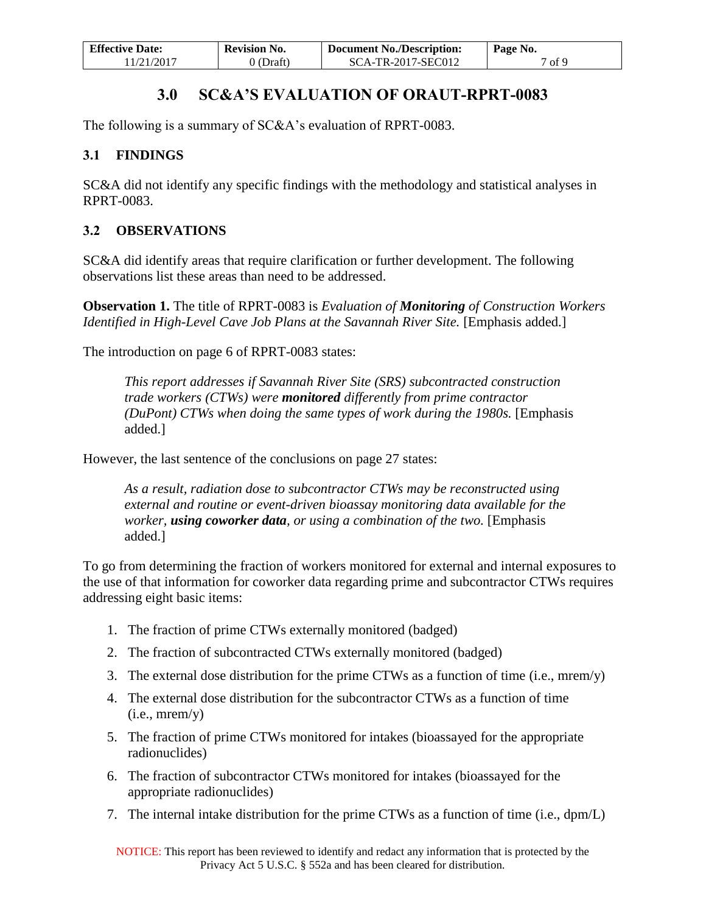| <b>Effective Date:</b> | <b>Revision No.</b> | <b>Document No./Description:</b> | Page No. |
|------------------------|---------------------|----------------------------------|----------|
| 11/21/2017             | 0 (Draft)           | SCA-TR-2017-SEC012               | 1 of 9   |

# **3.0 SC&A'S EVALUATION OF ORAUT-RPRT-0083**

<span id="page-6-0"></span>The following is a summary of SC&A's evaluation of RPRT-0083.

## <span id="page-6-1"></span>**3.1 FINDINGS**

SC&A did not identify any specific findings with the methodology and statistical analyses in RPRT-0083.

## <span id="page-6-2"></span>**3.2 OBSERVATIONS**

SC&A did identify areas that require clarification or further development. The following observations list these areas than need to be addressed.

**Observation 1.** The title of RPRT-0083 is *Evaluation of Monitoring of Construction Workers Identified in High-Level Cave Job Plans at the Savannah River Site.* [Emphasis added.]

The introduction on page 6 of RPRT-0083 states:

*This report addresses if Savannah River Site (SRS) subcontracted construction trade workers (CTWs) were monitored differently from prime contractor (DuPont) CTWs when doing the same types of work during the 1980s.* [Emphasis added.]

However, the last sentence of the conclusions on page 27 states:

*As a result, radiation dose to subcontractor CTWs may be reconstructed using external and routine or event-driven bioassay monitoring data available for the worker, using coworker data, or using a combination of the two.* [Emphasis added.]

To go from determining the fraction of workers monitored for external and internal exposures to the use of that information for coworker data regarding prime and subcontractor CTWs requires addressing eight basic items:

- 1. The fraction of prime CTWs externally monitored (badged)
- 2. The fraction of subcontracted CTWs externally monitored (badged)
- 3. The external dose distribution for the prime CTWs as a function of time (i.e., mrem/y)
- 4. The external dose distribution for the subcontractor CTWs as a function of time  $(i.e., mrem/v)$
- 5. The fraction of prime CTWs monitored for intakes (bioassayed for the appropriate radionuclides)
- 6. The fraction of subcontractor CTWs monitored for intakes (bioassayed for the appropriate radionuclides)
- 7. The internal intake distribution for the prime CTWs as a function of time (i.e., dpm/L)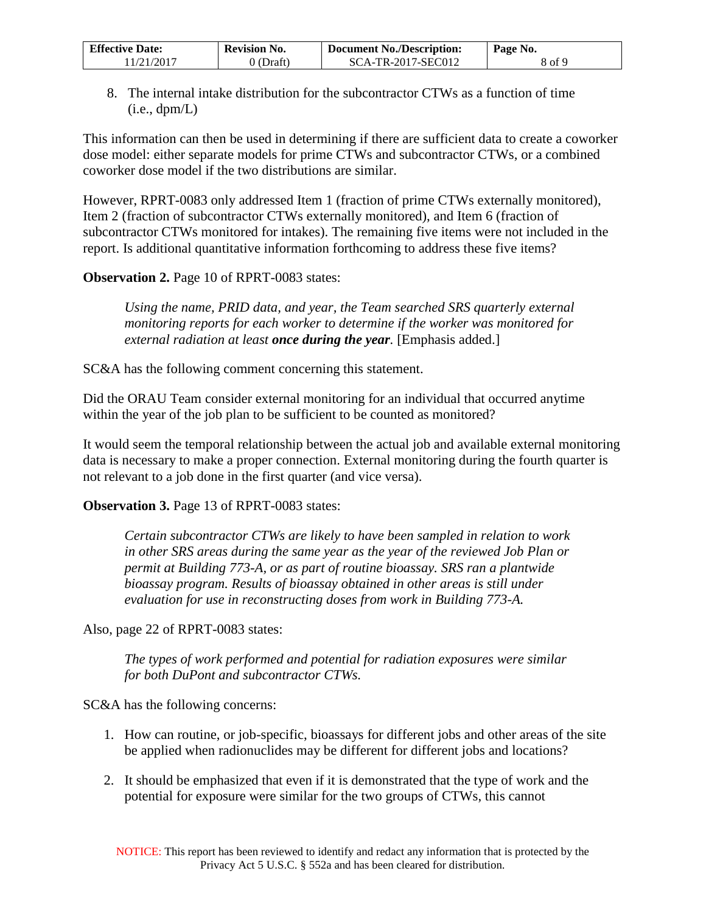| <b>Effective Date:</b> | Revision No. | <b>Document No./Description:</b> | Page No. |
|------------------------|--------------|----------------------------------|----------|
| 11/21/2017             | (Draft)      | $SCA-TR-2017-SEC012$             | 8 of 9   |

8. The internal intake distribution for the subcontractor CTWs as a function of time  $(i.e., \text{dpm/L})$ 

This information can then be used in determining if there are sufficient data to create a coworker dose model: either separate models for prime CTWs and subcontractor CTWs, or a combined coworker dose model if the two distributions are similar.

However, RPRT-0083 only addressed Item 1 (fraction of prime CTWs externally monitored), Item 2 (fraction of subcontractor CTWs externally monitored), and Item 6 (fraction of subcontractor CTWs monitored for intakes). The remaining five items were not included in the report. Is additional quantitative information forthcoming to address these five items?

### **Observation 2.** Page 10 of RPRT-0083 states:

*Using the name, PRID data, and year, the Team searched SRS quarterly external monitoring reports for each worker to determine if the worker was monitored for external radiation at least once during the year.* [Emphasis added.]

SC&A has the following comment concerning this statement.

Did the ORAU Team consider external monitoring for an individual that occurred anytime within the year of the job plan to be sufficient to be counted as monitored?

It would seem the temporal relationship between the actual job and available external monitoring data is necessary to make a proper connection. External monitoring during the fourth quarter is not relevant to a job done in the first quarter (and vice versa).

**Observation 3.** Page 13 of RPRT-0083 states:

*Certain subcontractor CTWs are likely to have been sampled in relation to work in other SRS areas during the same year as the year of the reviewed Job Plan or permit at Building 773-A, or as part of routine bioassay. SRS ran a plantwide bioassay program. Results of bioassay obtained in other areas is still under evaluation for use in reconstructing doses from work in Building 773-A.*

Also, page 22 of RPRT-0083 states:

*The types of work performed and potential for radiation exposures were similar for both DuPont and subcontractor CTWs.*

SC&A has the following concerns:

- 1. How can routine, or job-specific, bioassays for different jobs and other areas of the site be applied when radionuclides may be different for different jobs and locations?
- 2. It should be emphasized that even if it is demonstrated that the type of work and the potential for exposure were similar for the two groups of CTWs, this cannot